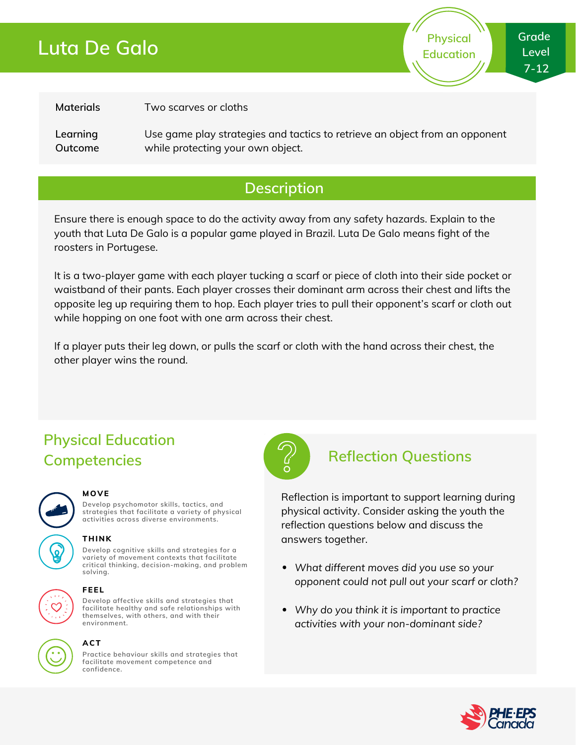### **Luta De Galo**



**Physical Education**

#### **Materials**

Two scarves or cloths

**Learning Outcome** Use game play strategies and tactics to retrieve an object from an opponent while protecting your own object.

### **Description**

Ensure there is enough space to do the activity away from any safety hazards. Explain to the youth that Luta De Galo is a popular game played in Brazil. Luta De Galo means fight of the roosters in Portugese.

It is a two-player game with each player tucking a scarf or piece of cloth into their side pocket or waistband of their pants. Each player crosses their dominant arm across their chest and lifts the opposite leg up requiring them to hop. Each player tries to pull their opponent's scarf or cloth out while hopping on one foot with one arm across their chest.

If a player puts their leg down, or pulls the scarf or cloth with the hand across their chest, the other player wins the round.

### **Physical Education Competencies Reflection Questions**



#### **MOVE**

**Develop psychomotor skills, tactics, and strategies that facilitate a variety of physical activities across diverse environments.**

### **THINK**

**Develop cognitive skills and strategies for a variety of movement contexts that facilitate critical thinking, decision-making, and problem solving.**

**Develop affective skills and strategies that facilitate healthy and safe relationships with themselves, with others, and with their**

### **environment. FEEL**

## **ACT**

**Practice behaviour skills and strategies that facilitate movement competence and confidence.**



Reflection is important to support learning during physical activity. Consider asking the youth the reflection questions below and discuss the answers together.

- *What different moves did you use so your opponent could not pull out your scarf or cloth?*
- *Why do you think it is important to practice activities with your non-dominant side?*